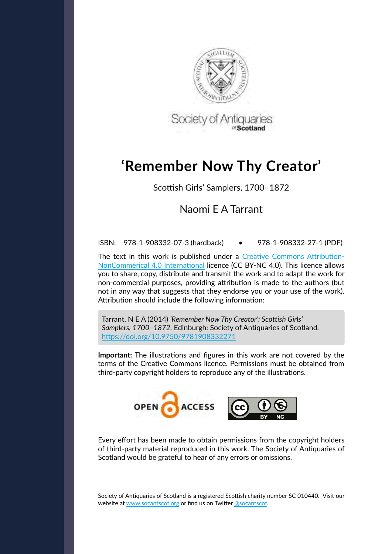

Society of Ar

## **'Remember Now Thy Creator'**

### Scottish Girls' Samplers, 1700-1872

## Naomi E A Tarrant

ISBN: 978-1-908332-07-3 (hardback) • 978-1-908332-27-1 (PDF)

The text in this work is published under a Creative Commons Attribution-NonCommerical 4.0 International licence (CC BY-NC 4.0). This licence allows you to share, copy, distribute and transmit the work and to adapt the work for non-commercial purposes, providing attribution is made to the authors (but not in any way that suggests that they endorse you or your use of the work). Attribution should include the following information:

Tarrant, N E A (2014) *'Remember Now Thy Creator': Scottish Girls' Samplers, 1700–1872*. Edinburgh: Society of Antiquaries of Scotland. [htps://doi.org/10.9750/](https://doi.org/10.9750/9781908332271)9781908332271

**Important:** The illustrations and figures in this work are not covered by the terms of the Creative Commons licence. Permissions must be obtained from third-party copyright holders to reproduce any of the illustrations.



Every effort has been made to obtain permissions from the copyright holders [of third-party material reproduced in this work. The Society of Antquaries of](http://Every effort has been made to contact the copyright holders for all third-party material reproduced in this volume. The Society of Antiquaries of Scotland would be grateful to hear of any errors or omissions.  ) [Scotland would be grateful to hear of any errors or omissions.](http://Every effort has been made to contact the copyright holders for all third-party material reproduced in this volume. The Society of Antiquaries of Scotland would be grateful to hear of any errors or omissions.  ) 

Society of Antiquaries of Scotland is a registered Scottish charity number SC 010440. Visit our website at [www.socantscot.org](http://www.socantscot.org) or find us on Twitter [@socantscot.](https://twitter.com/socantscot)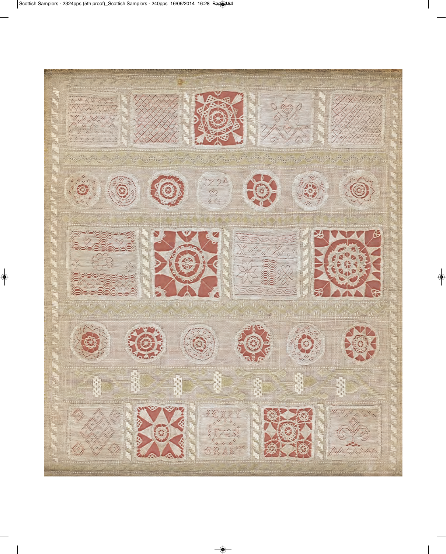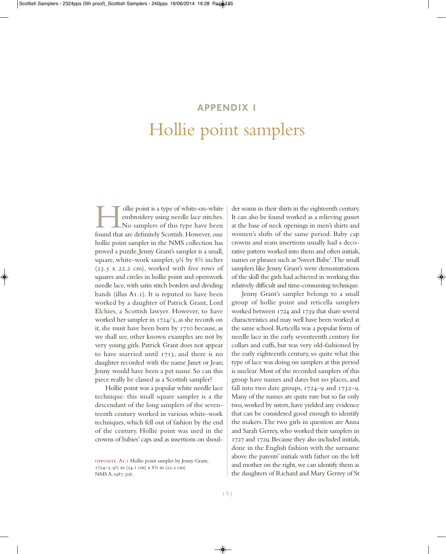# **APPENDIX 1** Hollie point samplers

ollie point is a type of white-on-white embroidery using needle lace stitches. No samplers of this type have been found that are definitely Scottish. However, one hollie point sampler in the NMS collection has proved a puzzle. Jenny Grant's sampler is a small, square, white-work sampler, 9¼ by 8½ inches  $(23.5 \times 22.2 \text{ cm})$ , worked with five rows of squares and circles in hollie point and openwork needle lace, with satin stitch borders and dividing bands (illus A1.1). It is reputed to have been worked by a daughter of Patrick Grant, Lord Elchies, a Scottish lawyer. However, to have worked her sampler in 1724/5, as she records on it, she must have been born by 1710 because, as we shall see, other known examples are not by very young girls. Patrick Grant does not appear to have married until 1713, and there is no daughter recorded with the name Janet or Jean; Jenny would have been a pet name. So can this piece really be classed as a Scottish sampler?

Hollie point was a popular white needle lace technique: this small square sampler is a the descendant of the long samplers of the seventeenth century worked in various white-work techniques, which fell out of fashion by the end of the century. Hollie point was used in the crowns of babies' caps and as insertions on shoulder seams in their shirts in the eighteenth century. It can also be found worked as a relieving gusset at the base of neck openings in men's shirts and women's shifts of the same period. Baby cap crowns and seam insertions usually had a decorative pattern worked into them and often initials, names or phrases such as 'Sweet Babe'. The small samplers like Jenny Grant's were demonstrations of the skill the girls had achieved in working this relatively difficult and time-consuming technique.

Jenny Grant's sampler belongs to a small group of hollie point and reticella samplers worked between 1724 and 1739 that share several characteristics and may well have been worked at the same school. Reticella was a popular form of needle lace in the early seventeenth century for collars and cuffs, but was very old-fashioned by the early eighteenth century, so quite what this type of lace was doing on samplers at this period is unclear. Most of the recorded samplers of this group have names and dates but no places, and fall into two date groups, 1724–9 and 1732–9. Many of the names are quite rare but so far only two, worked by sisters, have yielded any evidence that can be considered good enough to identify the makers. The two girls in question are Anna and Sarah Gerrey, who worked their samplers in 1727 and 1729. Because they also included initials, done in the English fashion with the surname above the parents' initials with father on the left and mother on the right, we can identify them as the daughters of Richard and Mary Gerrey of St

opposite. A1.1 Hollie point sampler by Jenny Grant,  $1724 - 5.9\frac{1}{2}$  in (24.1 cm) x  $8\frac{3}{4}$  in (22.2 cm). NMS A.1987.306.